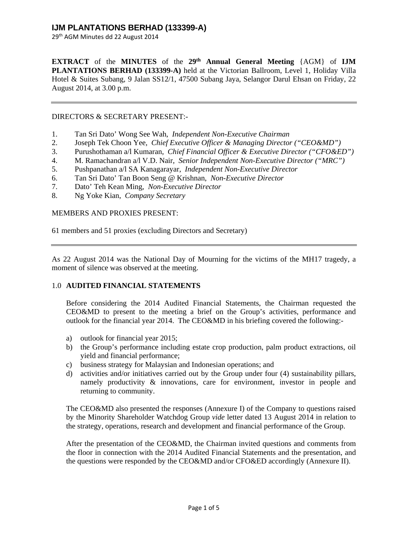29th AGM Minutes dd 22 August 2014

**EXTRACT** of the **MINUTES** of the **29th Annual General Meeting** {AGM} of **IJM PLANTATIONS BERHAD (133399-A)** held at the Victorian Ballroom, Level 1, Holiday Villa Hotel & Suites Subang, 9 Jalan SS12/1, 47500 Subang Jaya, Selangor Darul Ehsan on Friday, 22 August 2014, at 3.00 p.m.

### DIRECTORS & SECRETARY PRESENT:-

- 1. Tan Sri Dato' Wong See Wah, *Independent Non-Executive Chairman*
- 2. Joseph Tek Choon Yee, *Chief Executive Officer & Managing Director ("CEO&MD")*
- 3. Purushothaman a/l Kumaran, *Chief Financial Officer & Executive Director ("CFO&ED")*
- 4. M. Ramachandran a/l V.D. Nair, *Senior Independent Non-Executive Director ("MRC")*
- 5. Pushpanathan a/l SA Kanagarayar, *Independent Non-Executive Director*
- 6. Tan Sri Dato' Tan Boon Seng @ Krishnan, *Non-Executive Director*
- 7. Dato' Teh Kean Ming, *Non-Executive Director*
- 8. Ng Yoke Kian, *Company Secretary*

### MEMBERS AND PROXIES PRESENT:

61 members and 51 proxies (excluding Directors and Secretary)

As 22 August 2014 was the National Day of Mourning for the victims of the MH17 tragedy, a moment of silence was observed at the meeting.

### 1.0 **AUDITED FINANCIAL STATEMENTS**

Before considering the 2014 Audited Financial Statements, the Chairman requested the CEO&MD to present to the meeting a brief on the Group's activities, performance and outlook for the financial year 2014. The CEO&MD in his briefing covered the following:-

- a) outlook for financial year 2015;
- b) the Group's performance including estate crop production, palm product extractions, oil yield and financial performance;
- c) business strategy for Malaysian and Indonesian operations; and
- d) activities and/or initiatives carried out by the Group under four (4) sustainability pillars, namely productivity & innovations, care for environment, investor in people and returning to community.

The CEO&MD also presented the responses (Annexure I) of the Company to questions raised by the Minority Shareholder Watchdog Group *vide* letter dated 13 August 2014 in relation to the strategy, operations, research and development and financial performance of the Group.

After the presentation of the CEO&MD, the Chairman invited questions and comments from the floor in connection with the 2014 Audited Financial Statements and the presentation, and the questions were responded by the CEO&MD and/or CFO&ED accordingly (Annexure II).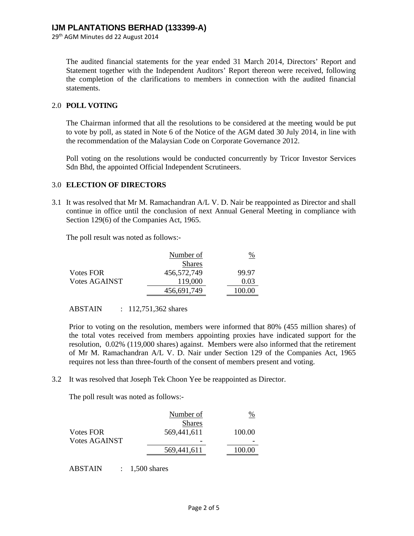29th AGM Minutes dd 22 August 2014

The audited financial statements for the year ended 31 March 2014, Directors' Report and Statement together with the Independent Auditors' Report thereon were received, following the completion of the clarifications to members in connection with the audited financial statements.

### 2.0 **POLL VOTING**

The Chairman informed that all the resolutions to be considered at the meeting would be put to vote by poll, as stated in Note 6 of the Notice of the AGM dated 30 July 2014, in line with the recommendation of the Malaysian Code on Corporate Governance 2012.

Poll voting on the resolutions would be conducted concurrently by Tricor Investor Services Sdn Bhd, the appointed Official Independent Scrutineers.

### 3.0 **ELECTION OF DIRECTORS**

3.1 It was resolved that Mr M. Ramachandran A/L V. D. Nair be reappointed as Director and shall continue in office until the conclusion of next Annual General Meeting in compliance with Section 129(6) of the Companies Act, 1965.

The poll result was noted as follows:-

|                      | Number of     | %      |
|----------------------|---------------|--------|
|                      | <b>Shares</b> |        |
| Votes FOR            | 456,572,749   | 99.97  |
| <b>Votes AGAINST</b> | 119,000       | 0.03   |
|                      | 456,691,749   | 100.00 |

ABSTAIN : 112,751,362 shares

Prior to voting on the resolution, members were informed that 80% (455 million shares) of the total votes received from members appointing proxies have indicated support for the resolution, 0.02% (119,000 shares) against. Members were also informed that the retirement of Mr M. Ramachandran A/L V. D. Nair under Section 129 of the Companies Act, 1965 requires not less than three-fourth of the consent of members present and voting.

3.2 It was resolved that Joseph Tek Choon Yee be reappointed as Director.

The poll result was noted as follows:-

|                  | Number of     | %      |
|------------------|---------------|--------|
|                  | <b>Shares</b> |        |
| <b>Votes FOR</b> | 569,441,611   | 100.00 |
| Votes AGAINST    | -             |        |
|                  | 569,441,611   | 100.00 |

ABSTAIN : 1,500 shares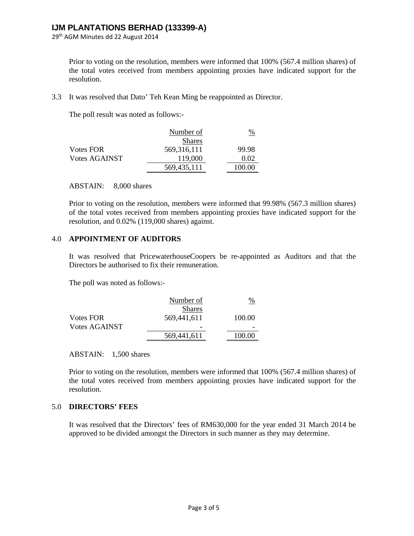29th AGM Minutes dd 22 August 2014

Prior to voting on the resolution, members were informed that 100% (567.4 million shares) of the total votes received from members appointing proxies have indicated support for the resolution.

3.3 It was resolved that Dato' Teh Kean Ming be reappointed as Director.

The poll result was noted as follows:-

|                      | Number of     | $\frac{\%}{\%}$ |
|----------------------|---------------|-----------------|
|                      | <b>Shares</b> |                 |
| Votes FOR            | 569,316,111   | 99.98           |
| <b>Votes AGAINST</b> | 119,000       | 0.02            |
|                      | 569,435,111   | 100.00          |

### ABSTAIN: 8,000 shares

Prior to voting on the resolution, members were informed that 99.98% (567.3 million shares) of the total votes received from members appointing proxies have indicated support for the resolution, and 0.02% (119,000 shares) against.

### 4.0 **APPOINTMENT OF AUDITORS**

It was resolved that PricewaterhouseCoopers be re-appointed as Auditors and that the Directors be authorised to fix their remuneration.

The poll was noted as follows:-

|                      | Number of     | $\%$   |
|----------------------|---------------|--------|
|                      | <b>Shares</b> |        |
| <b>Votes FOR</b>     | 569,441,611   | 100.00 |
| <b>Votes AGAINST</b> |               |        |
|                      | 569,441,611   | 100.00 |
|                      |               |        |

#### ABSTAIN: 1,500 shares

Prior to voting on the resolution, members were informed that 100% (567.4 million shares) of the total votes received from members appointing proxies have indicated support for the resolution.

### 5.0 **DIRECTORS' FEES**

It was resolved that the Directors' fees of RM630,000 for the year ended 31 March 2014 be approved to be divided amongst the Directors in such manner as they may determine.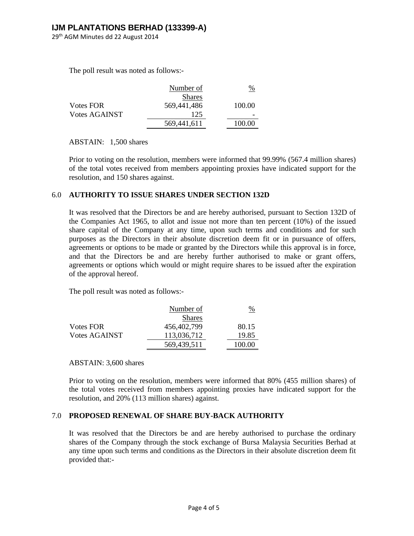29th AGM Minutes dd 22 August 2014

The poll result was noted as follows:-

|                      | Number of     | %      |
|----------------------|---------------|--------|
|                      | <b>Shares</b> |        |
| <b>Votes FOR</b>     | 569,441,486   | 100.00 |
| <b>Votes AGAINST</b> | 125           |        |
|                      | 569,441,611   | 100.00 |

ABSTAIN: 1,500 shares

Prior to voting on the resolution, members were informed that 99.99% (567.4 million shares) of the total votes received from members appointing proxies have indicated support for the resolution, and 150 shares against.

### 6.0 **AUTHORITY TO ISSUE SHARES UNDER SECTION 132D**

It was resolved that the Directors be and are hereby authorised, pursuant to Section 132D of the Companies Act 1965, to allot and issue not more than ten percent (10%) of the issued share capital of the Company at any time, upon such terms and conditions and for such purposes as the Directors in their absolute discretion deem fit or in pursuance of offers, agreements or options to be made or granted by the Directors while this approval is in force, and that the Directors be and are hereby further authorised to make or grant offers, agreements or options which would or might require shares to be issued after the expiration of the approval hereof.

The poll result was noted as follows:-

|                      | Number of     | $\frac{\%}{\%}$ |
|----------------------|---------------|-----------------|
|                      | <b>Shares</b> |                 |
| Votes FOR            | 456,402,799   | 80.15           |
| <b>Votes AGAINST</b> | 113,036,712   | 19.85           |
|                      | 569,439,511   | 100.00          |

### ABSTAIN: 3,600 shares

Prior to voting on the resolution, members were informed that 80% (455 million shares) of the total votes received from members appointing proxies have indicated support for the resolution, and 20% (113 million shares) against.

### 7.0 **PROPOSED RENEWAL OF SHARE BUY-BACK AUTHORITY**

It was resolved that the Directors be and are hereby authorised to purchase the ordinary shares of the Company through the stock exchange of Bursa Malaysia Securities Berhad at any time upon such terms and conditions as the Directors in their absolute discretion deem fit provided that:-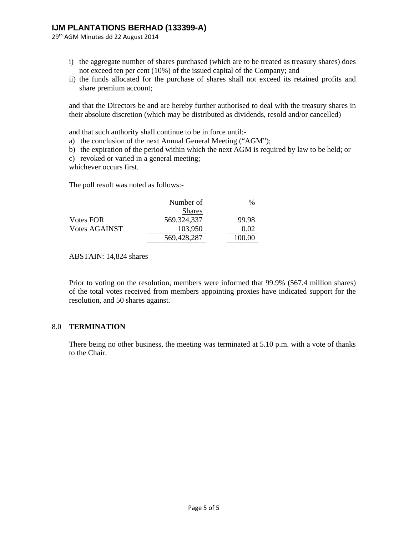29th AGM Minutes dd 22 August 2014

- i) the aggregate number of shares purchased (which are to be treated as treasury shares) does not exceed ten per cent (10%) of the issued capital of the Company; and
- ii) the funds allocated for the purchase of shares shall not exceed its retained profits and share premium account;

and that the Directors be and are hereby further authorised to deal with the treasury shares in their absolute discretion (which may be distributed as dividends, resold and/or cancelled)

and that such authority shall continue to be in force until:-

- a) the conclusion of the next Annual General Meeting ("AGM");
- b) the expiration of the period within which the next AGM is required by law to be held; or
- c) revoked or varied in a general meeting;

whichever occurs first.

The poll result was noted as follows:-

|                      | Number of     | $\frac{\%}{\%}$ |
|----------------------|---------------|-----------------|
|                      | <b>Shares</b> |                 |
| <b>Votes FOR</b>     | 569, 324, 337 | 99.98           |
| <b>Votes AGAINST</b> | 103,950       | 0.02            |
|                      | 569,428,287   | 100.00          |

ABSTAIN: 14,824 shares

Prior to voting on the resolution, members were informed that 99.9% (567.4 million shares) of the total votes received from members appointing proxies have indicated support for the resolution, and 50 shares against.

#### 8.0 **TERMINATION**

There being no other business, the meeting was terminated at 5.10 p.m. with a vote of thanks to the Chair.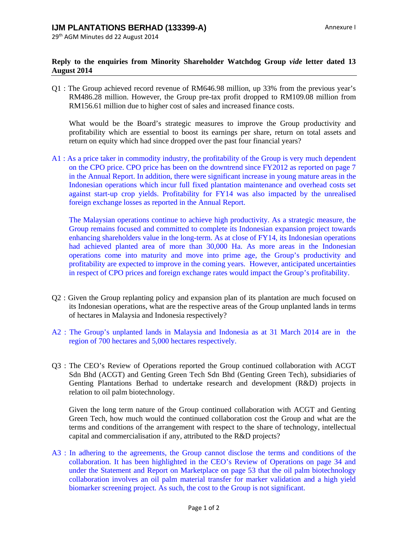### **Reply to the enquiries from Minority Shareholder Watchdog Group** *vide* **letter dated 13 August 2014**

Q1 : The Group achieved record revenue of RM646.98 million, up 33% from the previous year's RM486.28 million. However, the Group pre-tax profit dropped to RM109.08 million from RM156.61 million due to higher cost of sales and increased finance costs.

What would be the Board's strategic measures to improve the Group productivity and profitability which are essential to boost its earnings per share, return on total assets and return on equity which had since dropped over the past four financial years?

A1 : As a price taker in commodity industry, the profitability of the Group is very much dependent on the CPO price. CPO price has been on the downtrend since FY2012 as reported on page 7 in the Annual Report. In addition, there were significant increase in young mature areas in the Indonesian operations which incur full fixed plantation maintenance and overhead costs set against start-up crop yields. Profitability for FY14 was also impacted by the unrealised foreign exchange losses as reported in the Annual Report.

The Malaysian operations continue to achieve high productivity. As a strategic measure, the Group remains focused and committed to complete its Indonesian expansion project towards enhancing shareholders value in the long-term. As at close of FY14, its Indonesian operations had achieved planted area of more than 30,000 Ha. As more areas in the Indonesian operations come into maturity and move into prime age, the Group's productivity and profitability are expected to improve in the coming years. However, anticipated uncertainties in respect of CPO prices and foreign exchange rates would impact the Group's profitability.

- Q2 : Given the Group replanting policy and expansion plan of its plantation are much focused on its Indonesian operations, what are the respective areas of the Group unplanted lands in terms of hectares in Malaysia and Indonesia respectively?
- A2 : The Group's unplanted lands in Malaysia and Indonesia as at 31 March 2014 are in the region of 700 hectares and 5,000 hectares respectively.
- Q3 : The CEO's Review of Operations reported the Group continued collaboration with ACGT Sdn Bhd (ACGT) and Genting Green Tech Sdn Bhd (Genting Green Tech), subsidiaries of Genting Plantations Berhad to undertake research and development (R&D) projects in relation to oil palm biotechnology.

Given the long term nature of the Group continued collaboration with ACGT and Genting Green Tech, how much would the continued collaboration cost the Group and what are the terms and conditions of the arrangement with respect to the share of technology, intellectual capital and commercialisation if any, attributed to the R&D projects?

A3 : In adhering to the agreements, the Group cannot disclose the terms and conditions of the collaboration. It has been highlighted in the CEO's Review of Operations on page 34 and under the Statement and Report on Marketplace on page 53 that the oil palm biotechnology collaboration involves an oil palm material transfer for marker validation and a high yield biomarker screening project. As such, the cost to the Group is not significant.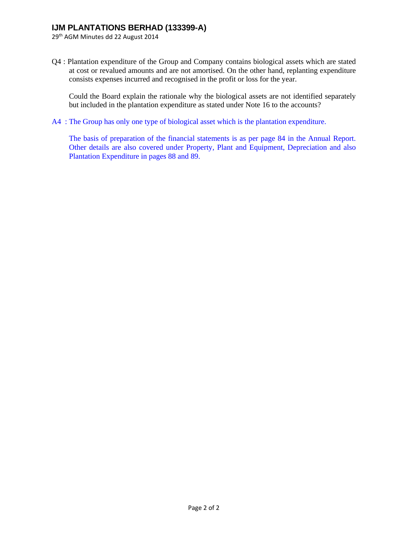29th AGM Minutes dd 22 August 2014

Q4 : Plantation expenditure of the Group and Company contains biological assets which are stated at cost or revalued amounts and are not amortised. On the other hand, replanting expenditure consists expenses incurred and recognised in the profit or loss for the year.

Could the Board explain the rationale why the biological assets are not identified separately but included in the plantation expenditure as stated under Note 16 to the accounts?

A4 : The Group has only one type of biological asset which is the plantation expenditure.

The basis of preparation of the financial statements is as per page 84 in the Annual Report. Other details are also covered under Property, Plant and Equipment, Depreciation and also Plantation Expenditure in pages 88 and 89.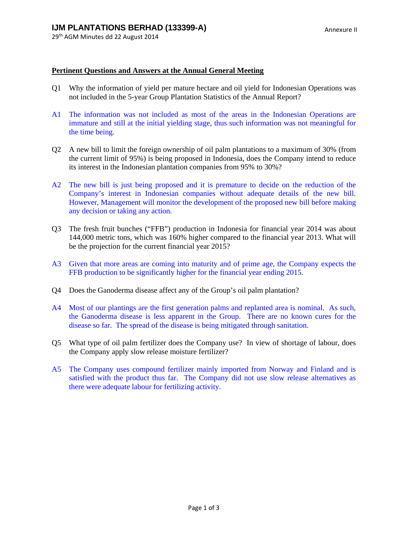#### **Pertinent Questions and Answers at the Annual General Meeting**

- Q1 Why the information of yield per mature hectare and oil yield for Indonesian Operations was not included in the 5-year Group Plantation Statistics of the Annual Report?
- A1 The information was not included as most of the areas in the Indonesian Operations are immature and still at the initial yielding stage, thus such information was not meaningful for the time being.
- Q2 A new bill to limit the foreign ownership of oil palm plantations to a maximum of 30% (from the current limit of 95%) is being proposed in Indonesia, does the Company intend to reduce its interest in the Indonesian plantation companies from 95% to 30%?
- A2 The new bill is just being proposed and it is premature to decide on the reduction of the Company's interest in Indonesian companies without adequate details of the new bill. However, Management will monitor the development of the proposed new bill before making any decision or taking any action.
- Q3 The fresh fruit bunches ("FFB") production in Indonesia for financial year 2014 was about 144,000 metric tons, which was 160% higher compared to the financial year 2013. What will be the projection for the current financial year 2015?
- A3 Given that more areas are coming into maturity and of prime age, the Company expects the FFB production to be significantly higher for the financial year ending 2015.
- Q4 Does the Ganoderma disease affect any of the Group's oil palm plantation?
- A4 Most of our plantings are the first generation palms and replanted area is nominal. As such, the Ganoderma disease is less apparent in the Group. There are no known cures for the disease so far. The spread of the disease is being mitigated through sanitation.
- Q5 What type of oil palm fertilizer does the Company use? In view of shortage of labour, does the Company apply slow release moisture fertilizer?
- A5 The Company uses compound fertilizer mainly imported from Norway and Finland and is satisfied with the product thus far. The Company did not use slow release alternatives as there were adequate labour for fertilizing activity.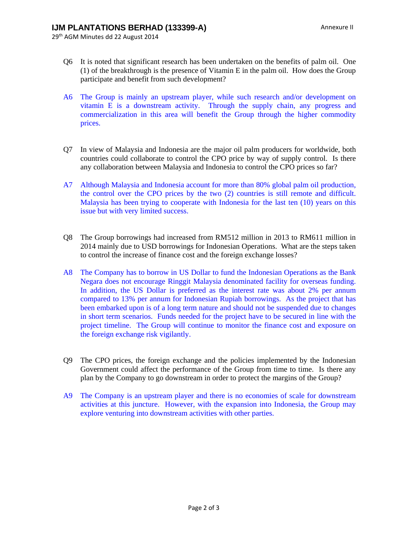- Q6 It is noted that significant research has been undertaken on the benefits of palm oil. One (1) of the breakthrough is the presence of Vitamin E in the palm oil. How does the Group participate and benefit from such development?
- A6 The Group is mainly an upstream player, while such research and/or development on vitamin E is a downstream activity. Through the supply chain, any progress and commercialization in this area will benefit the Group through the higher commodity prices.
- Q7 In view of Malaysia and Indonesia are the major oil palm producers for worldwide, both countries could collaborate to control the CPO price by way of supply control. Is there any collaboration between Malaysia and Indonesia to control the CPO prices so far?
- A7 Although Malaysia and Indonesia account for more than 80% global palm oil production, the control over the CPO prices by the two (2) countries is still remote and difficult. Malaysia has been trying to cooperate with Indonesia for the last ten (10) years on this issue but with very limited success.
- Q8 The Group borrowings had increased from RM512 million in 2013 to RM611 million in 2014 mainly due to USD borrowings for Indonesian Operations. What are the steps taken to control the increase of finance cost and the foreign exchange losses?
- A8 The Company has to borrow in US Dollar to fund the Indonesian Operations as the Bank Negara does not encourage Ringgit Malaysia denominated facility for overseas funding. In addition, the US Dollar is preferred as the interest rate was about 2% per annum compared to 13% per annum for Indonesian Rupiah borrowings. As the project that has been embarked upon is of a long term nature and should not be suspended due to changes in short term scenarios. Funds needed for the project have to be secured in line with the project timeline. The Group will continue to monitor the finance cost and exposure on the foreign exchange risk vigilantly.
- Q9 The CPO prices, the foreign exchange and the policies implemented by the Indonesian Government could affect the performance of the Group from time to time. Is there any plan by the Company to go downstream in order to protect the margins of the Group?
- A9 The Company is an upstream player and there is no economies of scale for downstream activities at this juncture. However, with the expansion into Indonesia, the Group may explore venturing into downstream activities with other parties.